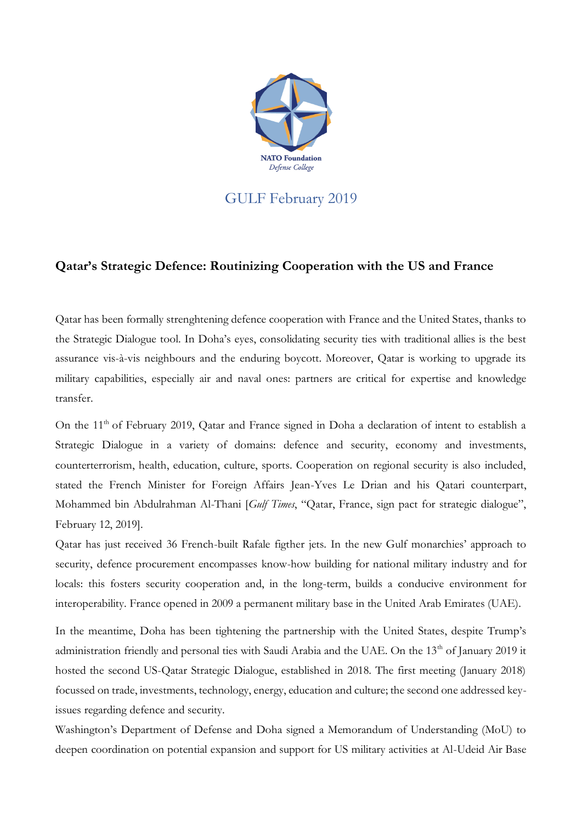

## GULF February 2019

## **Qatar's Strategic Defence: Routinizing Cooperation with the US and France**

Qatar has been formally strenghtening defence cooperation with France and the United States, thanks to the Strategic Dialogue tool. In Doha's eyes, consolidating security ties with traditional allies is the best assurance vis-à-vis neighbours and the enduring boycott. Moreover, Qatar is working to upgrade its military capabilities, especially air and naval ones: partners are critical for expertise and knowledge transfer.

On the 11<sup>th</sup> of February 2019, Oatar and France signed in Doha a declaration of intent to establish a Strategic Dialogue in a variety of domains: defence and security, economy and investments, counterterrorism, health, education, culture, sports. Cooperation on regional security is also included, stated the French Minister for Foreign Affairs Jean-Yves Le Drian and his Qatari counterpart, Mohammed bin Abdulrahman Al-Thani [*Gulf Times*, "Qatar, France, sign pact for strategic dialogue", February 12, 2019].

Qatar has just received 36 French-built Rafale figther jets. In the new Gulf monarchies' approach to security, defence procurement encompasses know-how building for national military industry and for locals: this fosters security cooperation and, in the long-term, builds a conducive environment for interoperability. France opened in 2009 a permanent military base in the United Arab Emirates (UAE).

In the meantime, Doha has been tightening the partnership with the United States, despite Trump's administration friendly and personal ties with Saudi Arabia and the UAE. On the 13<sup>th</sup> of January 2019 it hosted the second US-Qatar Strategic Dialogue, established in 2018. The first meeting (January 2018) focussed on trade, investments, technology, energy, education and culture; the second one addressed keyissues regarding defence and security.

Washington's Department of Defense and Doha signed a Memorandum of Understanding (MoU) to deepen coordination on potential expansion and support for US military activities at Al-Udeid Air Base